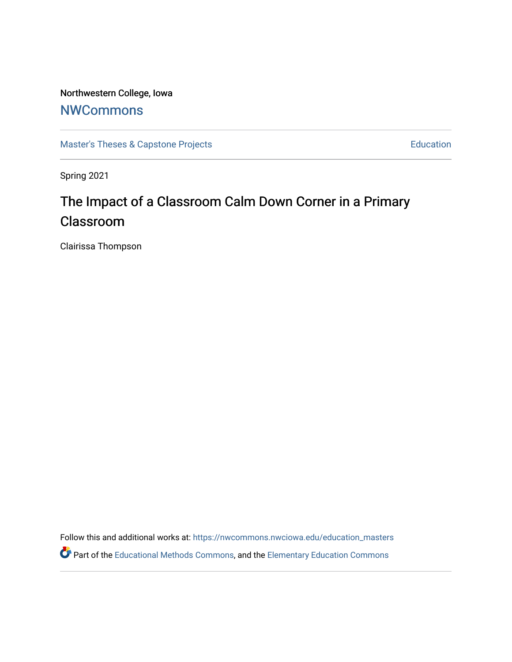# Northwestern College, Iowa

# **[NWCommons](https://nwcommons.nwciowa.edu/)**

[Master's Theses & Capstone Projects](https://nwcommons.nwciowa.edu/education_masters) **Education** Education

Spring 2021

# The Impact of a Classroom Calm Down Corner in a Primary Classroom

Clairissa Thompson

Follow this and additional works at: [https://nwcommons.nwciowa.edu/education\\_masters](https://nwcommons.nwciowa.edu/education_masters?utm_source=nwcommons.nwciowa.edu%2Feducation_masters%2F302&utm_medium=PDF&utm_campaign=PDFCoverPages) Part of the [Educational Methods Commons,](http://network.bepress.com/hgg/discipline/1227?utm_source=nwcommons.nwciowa.edu%2Feducation_masters%2F302&utm_medium=PDF&utm_campaign=PDFCoverPages) and the [Elementary Education Commons](http://network.bepress.com/hgg/discipline/1378?utm_source=nwcommons.nwciowa.edu%2Feducation_masters%2F302&utm_medium=PDF&utm_campaign=PDFCoverPages)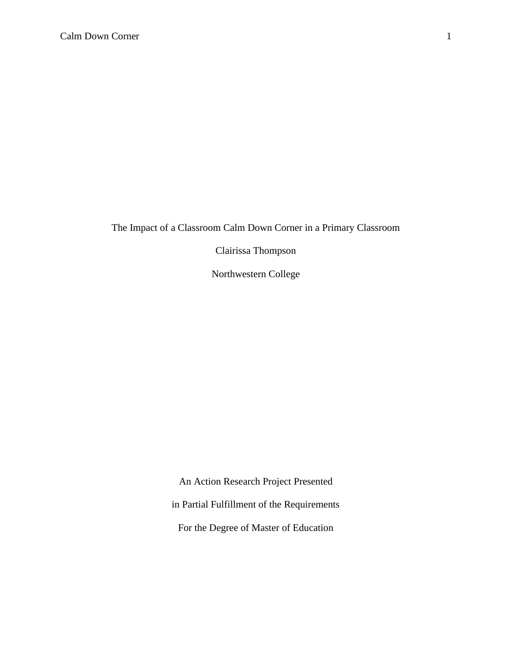The Impact of a Classroom Calm Down Corner in a Primary Classroom

Clairissa Thompson

Northwestern College

An Action Research Project Presented in Partial Fulfillment of the Requirements For the Degree of Master of Education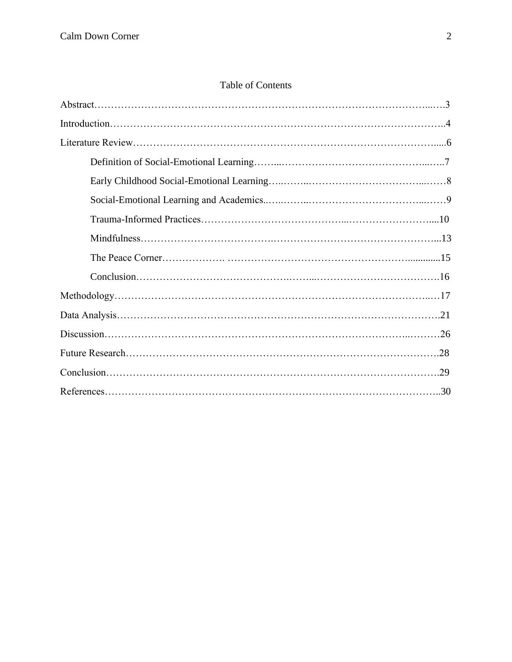# Table of Contents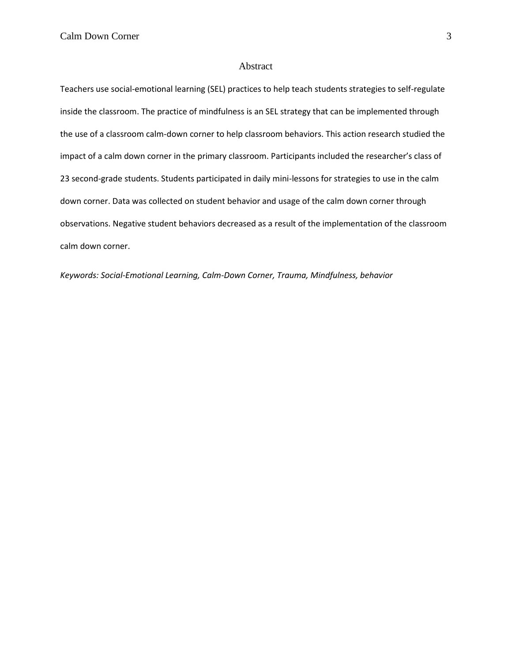#### Abstract

Teachers use social-emotional learning (SEL) practices to help teach students strategies to self-regulate inside the classroom. The practice of mindfulness is an SEL strategy that can be implemented through the use of a classroom calm-down corner to help classroom behaviors. This action research studied the impact of a calm down corner in the primary classroom. Participants included the researcher's class of 23 second-grade students. Students participated in daily mini-lessons for strategies to use in the calm down corner. Data was collected on student behavior and usage of the calm down corner through observations. Negative student behaviors decreased as a result of the implementation of the classroom calm down corner.

*Keywords: Social-Emotional Learning, Calm-Down Corner, Trauma, Mindfulness, behavior*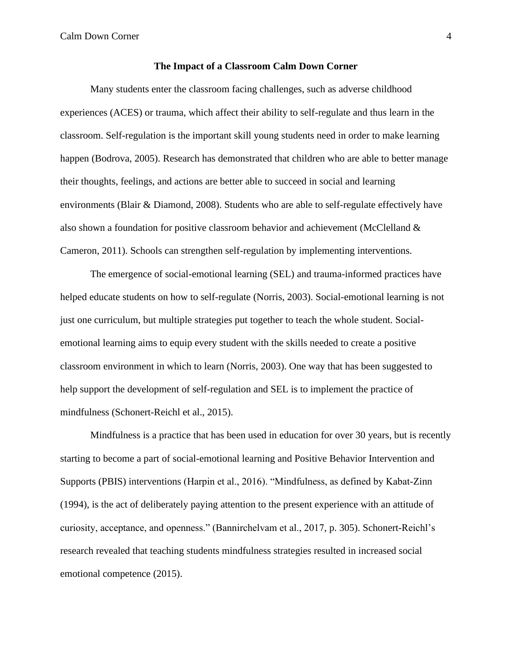Calm Down Corner 4

#### **The Impact of a Classroom Calm Down Corner**

Many students enter the classroom facing challenges, such as adverse childhood experiences (ACES) or trauma, which affect their ability to self-regulate and thus learn in the classroom. Self-regulation is the important skill young students need in order to make learning happen (Bodrova, 2005). Research has demonstrated that children who are able to better manage their thoughts, feelings, and actions are better able to succeed in social and learning environments (Blair & Diamond, 2008). Students who are able to self-regulate effectively have also shown a foundation for positive classroom behavior and achievement (McClelland & Cameron, 2011). Schools can strengthen self-regulation by implementing interventions.

The emergence of social-emotional learning (SEL) and trauma-informed practices have helped educate students on how to self-regulate (Norris, 2003). Social-emotional learning is not just one curriculum, but multiple strategies put together to teach the whole student. Socialemotional learning aims to equip every student with the skills needed to create a positive classroom environment in which to learn (Norris, 2003). One way that has been suggested to help support the development of self-regulation and SEL is to implement the practice of mindfulness (Schonert-Reichl et al., 2015).

Mindfulness is a practice that has been used in education for over 30 years, but is recently starting to become a part of social-emotional learning and Positive Behavior Intervention and Supports (PBIS) interventions (Harpin et al., 2016). "Mindfulness, as defined by Kabat-Zinn (1994), is the act of deliberately paying attention to the present experience with an attitude of curiosity, acceptance, and openness." (Bannirchelvam et al., 2017, p. 305). Schonert-Reichl's research revealed that teaching students mindfulness strategies resulted in increased social emotional competence (2015).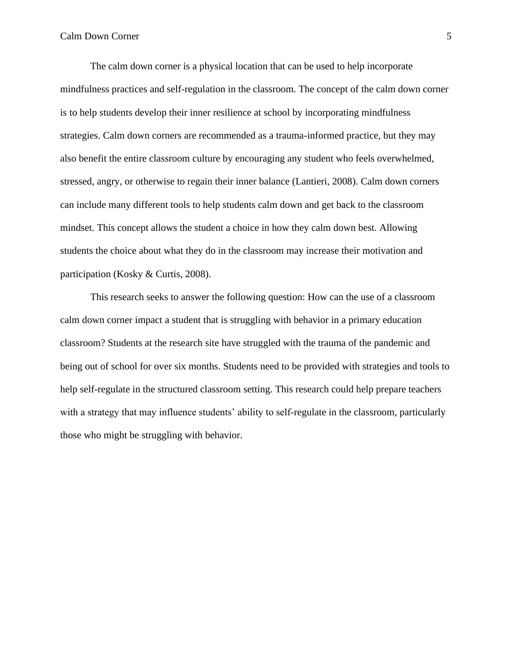The calm down corner is a physical location that can be used to help incorporate mindfulness practices and self-regulation in the classroom. The concept of the calm down corner is to help students develop their inner resilience at school by incorporating mindfulness strategies. Calm down corners are recommended as a trauma-informed practice, but they may also benefit the entire classroom culture by encouraging any student who feels overwhelmed, stressed, angry, or otherwise to regain their inner balance (Lantieri, 2008). Calm down corners can include many different tools to help students calm down and get back to the classroom mindset. This concept allows the student a choice in how they calm down best. Allowing students the choice about what they do in the classroom may increase their motivation and participation (Kosky & Curtis, 2008).

This research seeks to answer the following question: How can the use of a classroom calm down corner impact a student that is struggling with behavior in a primary education classroom? Students at the research site have struggled with the trauma of the pandemic and being out of school for over six months. Students need to be provided with strategies and tools to help self-regulate in the structured classroom setting. This research could help prepare teachers with a strategy that may influence students' ability to self-regulate in the classroom, particularly those who might be struggling with behavior.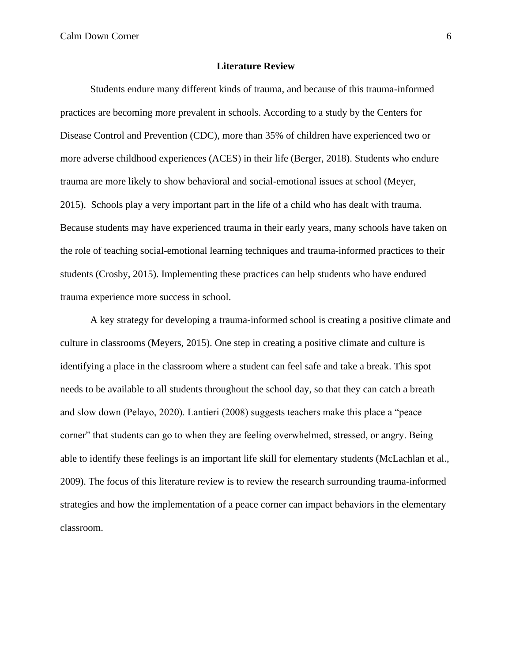Calm Down Corner 6

#### **Literature Review**

Students endure many different kinds of trauma, and because of this trauma-informed practices are becoming more prevalent in schools. According to a study by the Centers for Disease Control and Prevention (CDC), more than 35% of children have experienced two or more adverse childhood experiences (ACES) in their life (Berger, 2018). Students who endure trauma are more likely to show behavioral and social-emotional issues at school (Meyer, 2015). Schools play a very important part in the life of a child who has dealt with trauma. Because students may have experienced trauma in their early years, many schools have taken on the role of teaching social-emotional learning techniques and trauma-informed practices to their students (Crosby, 2015). Implementing these practices can help students who have endured trauma experience more success in school.

A key strategy for developing a trauma-informed school is creating a positive climate and culture in classrooms (Meyers, 2015). One step in creating a positive climate and culture is identifying a place in the classroom where a student can feel safe and take a break. This spot needs to be available to all students throughout the school day, so that they can catch a breath and slow down (Pelayo, 2020). Lantieri (2008) suggests teachers make this place a "peace corner" that students can go to when they are feeling overwhelmed, stressed, or angry. Being able to identify these feelings is an important life skill for elementary students (McLachlan et al., 2009). The focus of this literature review is to review the research surrounding trauma-informed strategies and how the implementation of a peace corner can impact behaviors in the elementary classroom.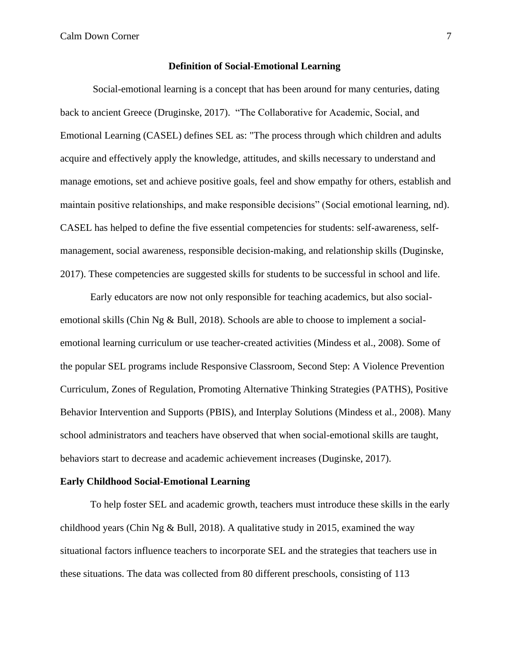Calm Down Corner 7

#### **Definition of Social-Emotional Learning**

Social-emotional learning is a concept that has been around for many centuries, dating back to ancient Greece (Druginske, 2017). "The Collaborative for Academic, Social, and Emotional Learning (CASEL) defines SEL as: "The process through which children and adults acquire and effectively apply the knowledge, attitudes, and skills necessary to understand and manage emotions, set and achieve positive goals, feel and show empathy for others, establish and maintain positive relationships, and make responsible decisions" (Social emotional learning, nd). CASEL has helped to define the five essential competencies for students: self-awareness, selfmanagement, social awareness, responsible decision-making, and relationship skills (Duginske, 2017). These competencies are suggested skills for students to be successful in school and life.

Early educators are now not only responsible for teaching academics, but also socialemotional skills (Chin Ng & Bull, 2018). Schools are able to choose to implement a socialemotional learning curriculum or use teacher-created activities (Mindess et al., 2008). Some of the popular SEL programs include Responsive Classroom, Second Step: A Violence Prevention Curriculum, Zones of Regulation, Promoting Alternative Thinking Strategies (PATHS), Positive Behavior Intervention and Supports (PBIS), and Interplay Solutions (Mindess et al., 2008). Many school administrators and teachers have observed that when social-emotional skills are taught, behaviors start to decrease and academic achievement increases (Duginske, 2017).

#### **Early Childhood Social-Emotional Learning**

To help foster SEL and academic growth, teachers must introduce these skills in the early childhood years (Chin Ng & Bull, 2018). A qualitative study in 2015, examined the way situational factors influence teachers to incorporate SEL and the strategies that teachers use in these situations. The data was collected from 80 different preschools, consisting of 113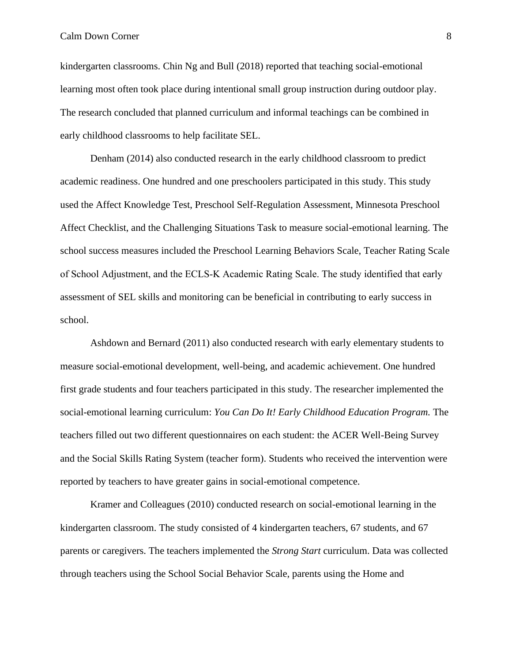kindergarten classrooms. Chin Ng and Bull (2018) reported that teaching social-emotional learning most often took place during intentional small group instruction during outdoor play. The research concluded that planned curriculum and informal teachings can be combined in early childhood classrooms to help facilitate SEL.

Denham (2014) also conducted research in the early childhood classroom to predict academic readiness. One hundred and one preschoolers participated in this study. This study used the Affect Knowledge Test, Preschool Self-Regulation Assessment, Minnesota Preschool Affect Checklist, and the Challenging Situations Task to measure social-emotional learning. The school success measures included the Preschool Learning Behaviors Scale, Teacher Rating Scale of School Adjustment, and the ECLS‐K Academic Rating Scale. The study identified that early assessment of SEL skills and monitoring can be beneficial in contributing to early success in school.

Ashdown and Bernard (2011) also conducted research with early elementary students to measure social-emotional development, well-being, and academic achievement. One hundred first grade students and four teachers participated in this study. The researcher implemented the social-emotional learning curriculum: *You Can Do It! Early Childhood Education Program.* The teachers filled out two different questionnaires on each student: the ACER Well-Being Survey and the Social Skills Rating System (teacher form). Students who received the intervention were reported by teachers to have greater gains in social-emotional competence.

Kramer and Colleagues (2010) conducted research on social-emotional learning in the kindergarten classroom. The study consisted of 4 kindergarten teachers, 67 students, and 67 parents or caregivers. The teachers implemented the *Strong Start* curriculum. Data was collected through teachers using the School Social Behavior Scale, parents using the Home and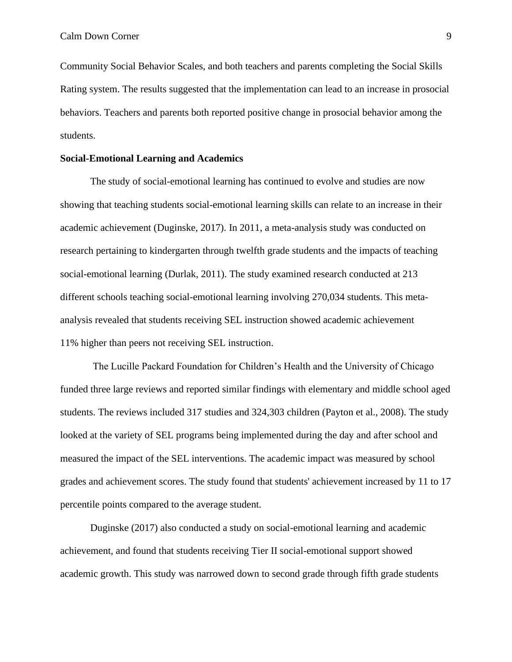Community Social Behavior Scales, and both teachers and parents completing the Social Skills Rating system. The results suggested that the implementation can lead to an increase in prosocial behaviors. Teachers and parents both reported positive change in prosocial behavior among the students.

#### **Social-Emotional Learning and Academics**

The study of social-emotional learning has continued to evolve and studies are now showing that teaching students social-emotional learning skills can relate to an increase in their academic achievement (Duginske, 2017). In 2011, a meta-analysis study was conducted on research pertaining to kindergarten through twelfth grade students and the impacts of teaching social-emotional learning (Durlak, 2011). The study examined research conducted at 213 different schools teaching social-emotional learning involving 270,034 students. This metaanalysis revealed that students receiving SEL instruction showed academic achievement 11% higher than peers not receiving SEL instruction.

The Lucille Packard Foundation for Children's Health and the University of Chicago funded three large reviews and reported similar findings with elementary and middle school aged students. The reviews included 317 studies and 324,303 children (Payton et al., 2008). The study looked at the variety of SEL programs being implemented during the day and after school and measured the impact of the SEL interventions. The academic impact was measured by school grades and achievement scores. The study found that students' achievement increased by 11 to 17 percentile points compared to the average student.

Duginske (2017) also conducted a study on social-emotional learning and academic achievement, and found that students receiving Tier II social-emotional support showed academic growth. This study was narrowed down to second grade through fifth grade students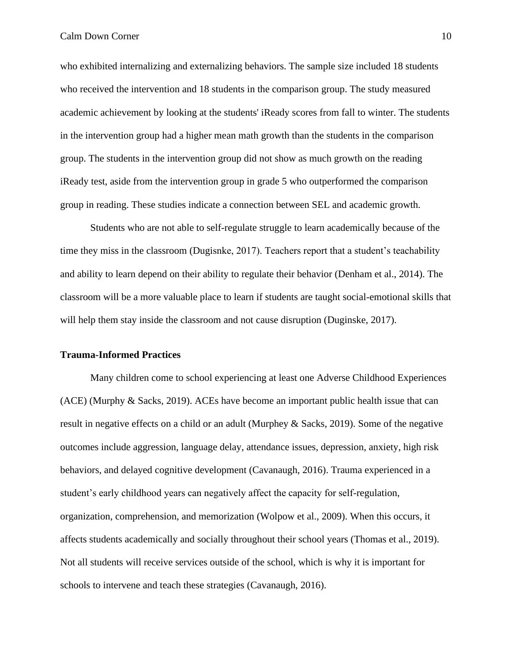who exhibited internalizing and externalizing behaviors. The sample size included 18 students who received the intervention and 18 students in the comparison group. The study measured academic achievement by looking at the students' iReady scores from fall to winter. The students in the intervention group had a higher mean math growth than the students in the comparison group. The students in the intervention group did not show as much growth on the reading iReady test, aside from the intervention group in grade 5 who outperformed the comparison group in reading. These studies indicate a connection between SEL and academic growth.

Students who are not able to self-regulate struggle to learn academically because of the time they miss in the classroom (Dugisnke, 2017). Teachers report that a student's teachability and ability to learn depend on their ability to regulate their behavior (Denham et al., 2014). The classroom will be a more valuable place to learn if students are taught social-emotional skills that will help them stay inside the classroom and not cause disruption (Duginske, 2017).

# **Trauma-Informed Practices**

Many children come to school experiencing at least one Adverse Childhood Experiences (ACE) (Murphy & Sacks, 2019). ACEs have become an important public health issue that can result in negative effects on a child or an adult (Murphey & Sacks, 2019). Some of the negative outcomes include aggression, language delay, attendance issues, depression, anxiety, high risk behaviors, and delayed cognitive development (Cavanaugh, 2016). Trauma experienced in a student's early childhood years can negatively affect the capacity for self-regulation, organization, comprehension, and memorization (Wolpow et al., 2009). When this occurs, it affects students academically and socially throughout their school years (Thomas et al., 2019). Not all students will receive services outside of the school, which is why it is important for schools to intervene and teach these strategies (Cavanaugh, 2016).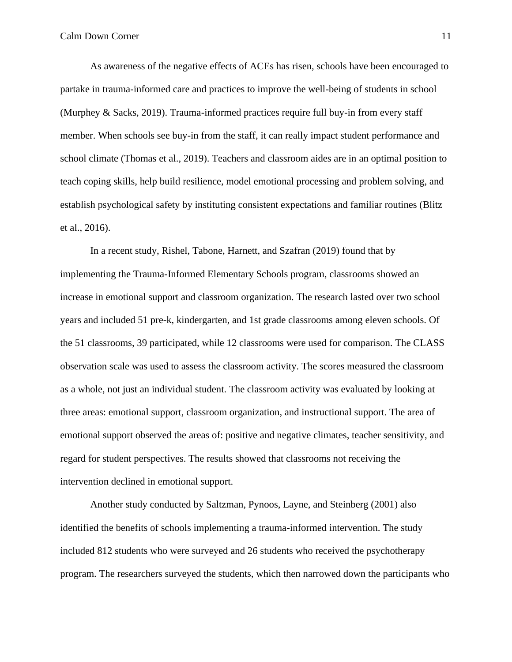As awareness of the negative effects of ACEs has risen, schools have been encouraged to partake in trauma-informed care and practices to improve the well-being of students in school (Murphey & Sacks, 2019). Trauma-informed practices require full buy-in from every staff member. When schools see buy-in from the staff, it can really impact student performance and school climate (Thomas et al., 2019). Teachers and classroom aides are in an optimal position to teach coping skills, help build resilience, model emotional processing and problem solving, and establish psychological safety by instituting consistent expectations and familiar routines (Blitz et al., 2016).

In a recent study, Rishel, Tabone, Harnett, and Szafran (2019) found that by implementing the Trauma-Informed Elementary Schools program, classrooms showed an increase in emotional support and classroom organization. The research lasted over two school years and included 51 pre-k, kindergarten, and 1st grade classrooms among eleven schools. Of the 51 classrooms, 39 participated, while 12 classrooms were used for comparison. The CLASS observation scale was used to assess the classroom activity. The scores measured the classroom as a whole, not just an individual student. The classroom activity was evaluated by looking at three areas: emotional support, classroom organization, and instructional support. The area of emotional support observed the areas of: positive and negative climates, teacher sensitivity, and regard for student perspectives. The results showed that classrooms not receiving the intervention declined in emotional support.

Another study conducted by Saltzman, Pynoos, Layne, and Steinberg (2001) also identified the benefits of schools implementing a trauma-informed intervention. The study included 812 students who were surveyed and 26 students who received the psychotherapy program. The researchers surveyed the students, which then narrowed down the participants who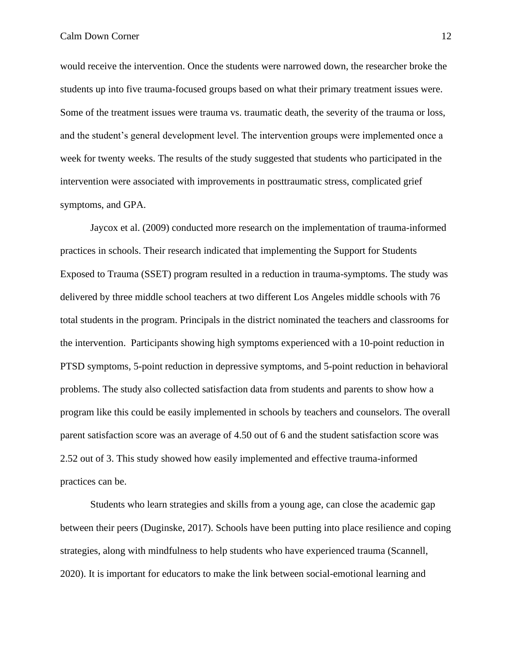would receive the intervention. Once the students were narrowed down, the researcher broke the students up into five trauma-focused groups based on what their primary treatment issues were. Some of the treatment issues were trauma vs. traumatic death, the severity of the trauma or loss, and the student's general development level. The intervention groups were implemented once a week for twenty weeks. The results of the study suggested that students who participated in the intervention were associated with improvements in posttraumatic stress, complicated grief symptoms, and GPA.

Jaycox et al. (2009) conducted more research on the implementation of trauma-informed practices in schools. Their research indicated that implementing the Support for Students Exposed to Trauma (SSET) program resulted in a reduction in trauma-symptoms. The study was delivered by three middle school teachers at two different Los Angeles middle schools with 76 total students in the program. Principals in the district nominated the teachers and classrooms for the intervention. Participants showing high symptoms experienced with a 10-point reduction in PTSD symptoms, 5-point reduction in depressive symptoms, and 5-point reduction in behavioral problems. The study also collected satisfaction data from students and parents to show how a program like this could be easily implemented in schools by teachers and counselors. The overall parent satisfaction score was an average of 4.50 out of 6 and the student satisfaction score was 2.52 out of 3. This study showed how easily implemented and effective trauma-informed practices can be.

Students who learn strategies and skills from a young age, can close the academic gap between their peers (Duginske, 2017). Schools have been putting into place resilience and coping strategies, along with mindfulness to help students who have experienced trauma (Scannell, 2020). It is important for educators to make the link between social-emotional learning and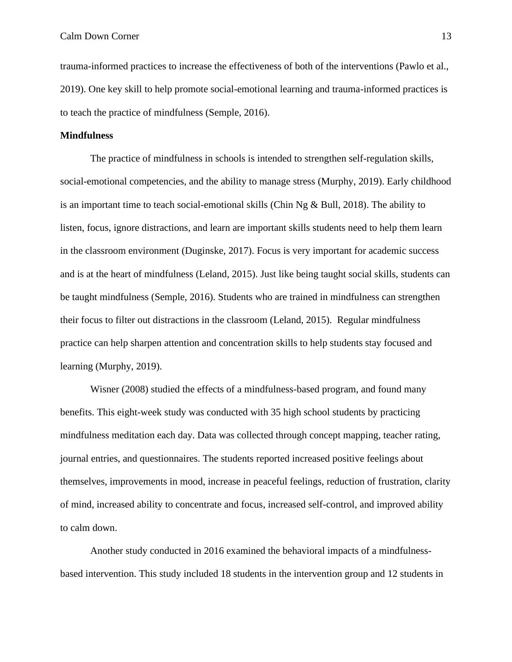trauma-informed practices to increase the effectiveness of both of the interventions (Pawlo et al., 2019). One key skill to help promote social-emotional learning and trauma-informed practices is to teach the practice of mindfulness (Semple, 2016).

#### **Mindfulness**

The practice of mindfulness in schools is intended to strengthen self-regulation skills, social-emotional competencies, and the ability to manage stress (Murphy, 2019). Early childhood is an important time to teach social-emotional skills (Chin Ng & Bull, 2018). The ability to listen, focus, ignore distractions, and learn are important skills students need to help them learn in the classroom environment (Duginske, 2017). Focus is very important for academic success and is at the heart of mindfulness (Leland, 2015). Just like being taught social skills, students can be taught mindfulness (Semple, 2016). Students who are trained in mindfulness can strengthen their focus to filter out distractions in the classroom (Leland, 2015). Regular mindfulness practice can help sharpen attention and concentration skills to help students stay focused and learning (Murphy, 2019).

Wisner (2008) studied the effects of a mindfulness-based program, and found many benefits. This eight-week study was conducted with 35 high school students by practicing mindfulness meditation each day. Data was collected through concept mapping, teacher rating, journal entries, and questionnaires. The students reported increased positive feelings about themselves, improvements in mood, increase in peaceful feelings, reduction of frustration, clarity of mind, increased ability to concentrate and focus, increased self-control, and improved ability to calm down.

Another study conducted in 2016 examined the behavioral impacts of a mindfulnessbased intervention. This study included 18 students in the intervention group and 12 students in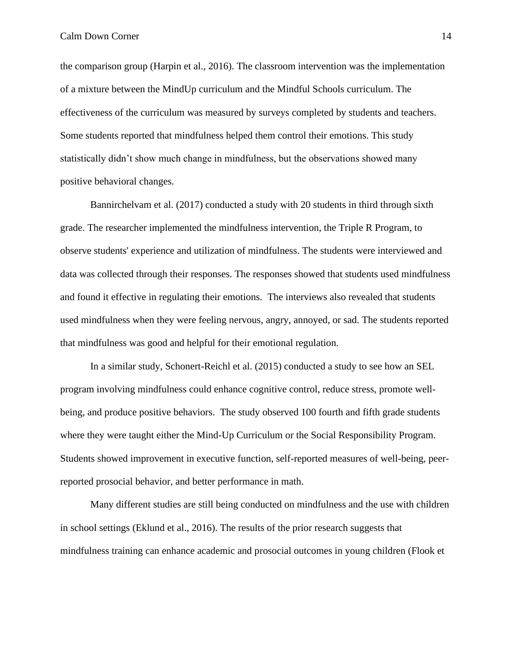the comparison group (Harpin et al., 2016). The classroom intervention was the implementation of a mixture between the MindUp curriculum and the Mindful Schools curriculum. The effectiveness of the curriculum was measured by surveys completed by students and teachers. Some students reported that mindfulness helped them control their emotions. This study statistically didn't show much change in mindfulness, but the observations showed many positive behavioral changes.

Bannirchelvam et al. (2017) conducted a study with 20 students in third through sixth grade. The researcher implemented the mindfulness intervention, the Triple R Program, to observe students' experience and utilization of mindfulness. The students were interviewed and data was collected through their responses. The responses showed that students used mindfulness and found it effective in regulating their emotions. The interviews also revealed that students used mindfulness when they were feeling nervous, angry, annoyed, or sad. The students reported that mindfulness was good and helpful for their emotional regulation.

In a similar study, Schonert-Reichl et al. (2015) conducted a study to see how an SEL program involving mindfulness could enhance cognitive control, reduce stress, promote wellbeing, and produce positive behaviors. The study observed 100 fourth and fifth grade students where they were taught either the Mind-Up Curriculum or the Social Responsibility Program. Students showed improvement in executive function, self-reported measures of well-being, peerreported prosocial behavior, and better performance in math.

Many different studies are still being conducted on mindfulness and the use with children in school settings (Eklund et al., 2016). The results of the prior research suggests that mindfulness training can enhance academic and prosocial outcomes in young children (Flook et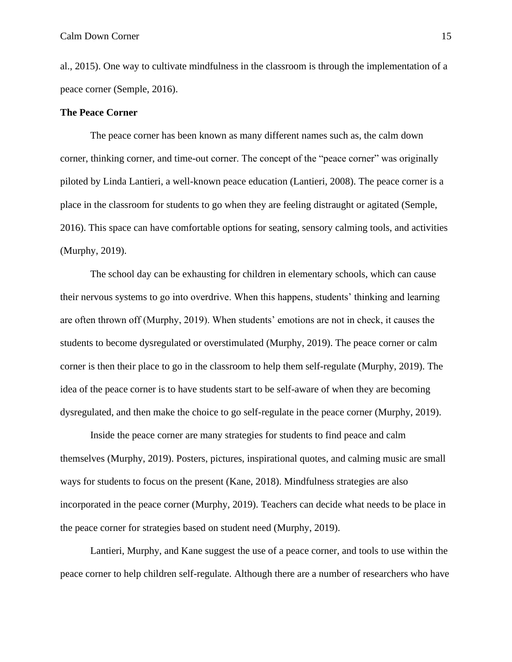al., 2015). One way to cultivate mindfulness in the classroom is through the implementation of a peace corner (Semple, 2016).

#### **The Peace Corner**

The peace corner has been known as many different names such as, the calm down corner, thinking corner, and time-out corner. The concept of the "peace corner" was originally piloted by Linda Lantieri, a well-known peace education (Lantieri, 2008). The peace corner is a place in the classroom for students to go when they are feeling distraught or agitated (Semple, 2016). This space can have comfortable options for seating, sensory calming tools, and activities (Murphy, 2019).

The school day can be exhausting for children in elementary schools, which can cause their nervous systems to go into overdrive. When this happens, students' thinking and learning are often thrown off (Murphy, 2019). When students' emotions are not in check, it causes the students to become dysregulated or overstimulated (Murphy, 2019). The peace corner or calm corner is then their place to go in the classroom to help them self-regulate (Murphy, 2019). The idea of the peace corner is to have students start to be self-aware of when they are becoming dysregulated, and then make the choice to go self-regulate in the peace corner (Murphy, 2019).

Inside the peace corner are many strategies for students to find peace and calm themselves (Murphy, 2019). Posters, pictures, inspirational quotes, and calming music are small ways for students to focus on the present (Kane, 2018). Mindfulness strategies are also incorporated in the peace corner (Murphy, 2019). Teachers can decide what needs to be place in the peace corner for strategies based on student need (Murphy, 2019).

Lantieri, Murphy, and Kane suggest the use of a peace corner, and tools to use within the peace corner to help children self-regulate. Although there are a number of researchers who have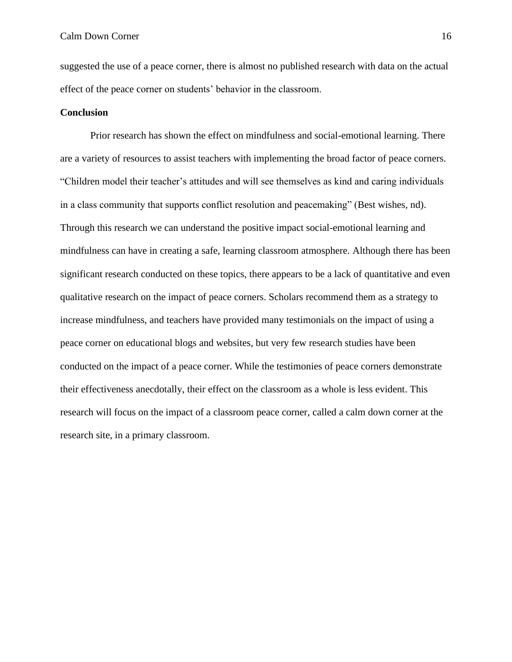suggested the use of a peace corner, there is almost no published research with data on the actual effect of the peace corner on students' behavior in the classroom.

#### **Conclusion**

Prior research has shown the effect on mindfulness and social-emotional learning. There are a variety of resources to assist teachers with implementing the broad factor of peace corners. "Children model their teacher's attitudes and will see themselves as kind and caring individuals in a class community that supports conflict resolution and peacemaking" (Best wishes, nd). Through this research we can understand the positive impact social-emotional learning and mindfulness can have in creating a safe, learning classroom atmosphere. Although there has been significant research conducted on these topics, there appears to be a lack of quantitative and even qualitative research on the impact of peace corners. Scholars recommend them as a strategy to increase mindfulness, and teachers have provided many testimonials on the impact of using a peace corner on educational blogs and websites, but very few research studies have been conducted on the impact of a peace corner. While the testimonies of peace corners demonstrate their effectiveness anecdotally, their effect on the classroom as a whole is less evident. This research will focus on the impact of a classroom peace corner, called a calm down corner at the research site, in a primary classroom.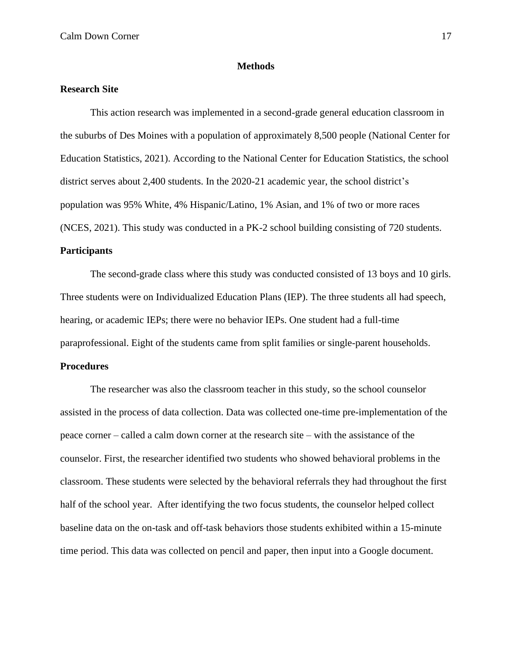#### **Methods**

# **Research Site**

This action research was implemented in a second-grade general education classroom in the suburbs of Des Moines with a population of approximately 8,500 people (National Center for Education Statistics, 2021). According to the National Center for Education Statistics, the school district serves about 2,400 students. In the 2020-21 academic year, the school district's population was 95% White, 4% Hispanic/Latino, 1% Asian, and 1% of two or more races (NCES, 2021). This study was conducted in a PK-2 school building consisting of 720 students.

# **Participants**

The second-grade class where this study was conducted consisted of 13 boys and 10 girls. Three students were on Individualized Education Plans (IEP). The three students all had speech, hearing, or academic IEPs; there were no behavior IEPs. One student had a full-time paraprofessional. Eight of the students came from split families or single-parent households.

## **Procedures**

The researcher was also the classroom teacher in this study, so the school counselor assisted in the process of data collection. Data was collected one-time pre-implementation of the peace corner – called a calm down corner at the research site – with the assistance of the counselor. First, the researcher identified two students who showed behavioral problems in the classroom. These students were selected by the behavioral referrals they had throughout the first half of the school year. After identifying the two focus students, the counselor helped collect baseline data on the on-task and off-task behaviors those students exhibited within a 15-minute time period. This data was collected on pencil and paper, then input into a Google document.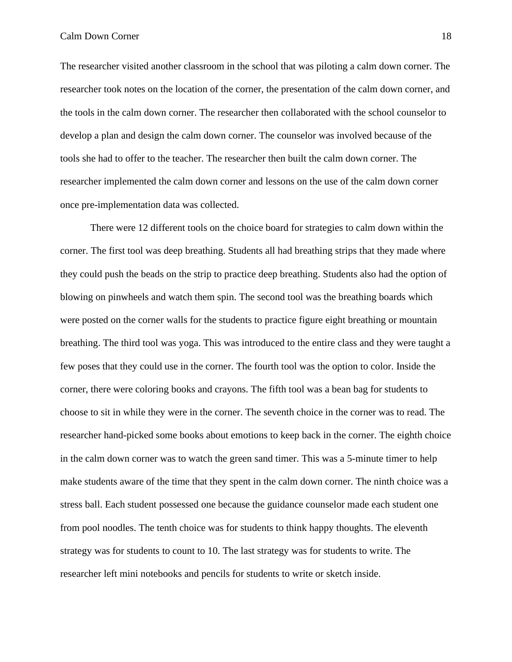The researcher visited another classroom in the school that was piloting a calm down corner. The researcher took notes on the location of the corner, the presentation of the calm down corner, and the tools in the calm down corner. The researcher then collaborated with the school counselor to develop a plan and design the calm down corner. The counselor was involved because of the tools she had to offer to the teacher. The researcher then built the calm down corner. The researcher implemented the calm down corner and lessons on the use of the calm down corner once pre-implementation data was collected.

There were 12 different tools on the choice board for strategies to calm down within the corner. The first tool was deep breathing. Students all had breathing strips that they made where they could push the beads on the strip to practice deep breathing. Students also had the option of blowing on pinwheels and watch them spin. The second tool was the breathing boards which were posted on the corner walls for the students to practice figure eight breathing or mountain breathing. The third tool was yoga. This was introduced to the entire class and they were taught a few poses that they could use in the corner. The fourth tool was the option to color. Inside the corner, there were coloring books and crayons. The fifth tool was a bean bag for students to choose to sit in while they were in the corner. The seventh choice in the corner was to read. The researcher hand-picked some books about emotions to keep back in the corner. The eighth choice in the calm down corner was to watch the green sand timer. This was a 5-minute timer to help make students aware of the time that they spent in the calm down corner. The ninth choice was a stress ball. Each student possessed one because the guidance counselor made each student one from pool noodles. The tenth choice was for students to think happy thoughts. The eleventh strategy was for students to count to 10. The last strategy was for students to write. The researcher left mini notebooks and pencils for students to write or sketch inside.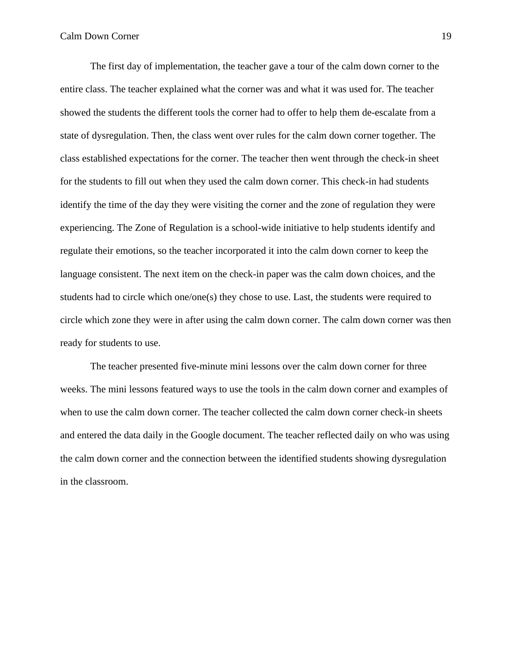The first day of implementation, the teacher gave a tour of the calm down corner to the entire class. The teacher explained what the corner was and what it was used for. The teacher showed the students the different tools the corner had to offer to help them de-escalate from a state of dysregulation. Then, the class went over rules for the calm down corner together. The class established expectations for the corner. The teacher then went through the check-in sheet for the students to fill out when they used the calm down corner. This check-in had students identify the time of the day they were visiting the corner and the zone of regulation they were experiencing. The Zone of Regulation is a school-wide initiative to help students identify and regulate their emotions, so the teacher incorporated it into the calm down corner to keep the language consistent. The next item on the check-in paper was the calm down choices, and the students had to circle which one/one(s) they chose to use. Last, the students were required to circle which zone they were in after using the calm down corner. The calm down corner was then ready for students to use.

The teacher presented five-minute mini lessons over the calm down corner for three weeks. The mini lessons featured ways to use the tools in the calm down corner and examples of when to use the calm down corner. The teacher collected the calm down corner check-in sheets and entered the data daily in the Google document. The teacher reflected daily on who was using the calm down corner and the connection between the identified students showing dysregulation in the classroom.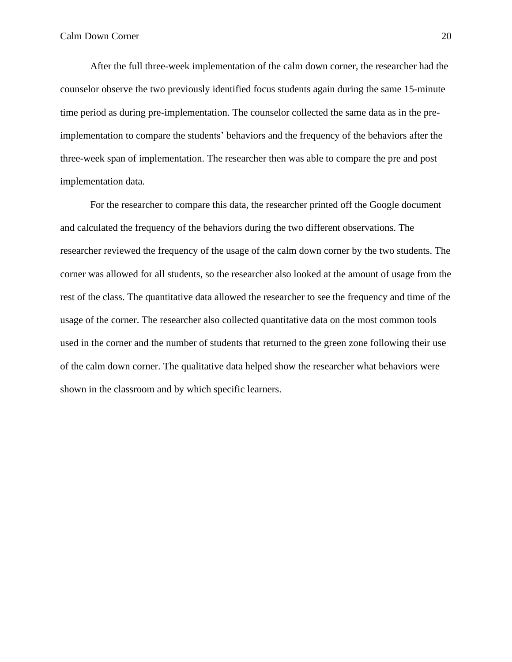After the full three-week implementation of the calm down corner, the researcher had the counselor observe the two previously identified focus students again during the same 15-minute time period as during pre-implementation. The counselor collected the same data as in the preimplementation to compare the students' behaviors and the frequency of the behaviors after the three-week span of implementation. The researcher then was able to compare the pre and post implementation data.

For the researcher to compare this data, the researcher printed off the Google document and calculated the frequency of the behaviors during the two different observations. The researcher reviewed the frequency of the usage of the calm down corner by the two students. The corner was allowed for all students, so the researcher also looked at the amount of usage from the rest of the class. The quantitative data allowed the researcher to see the frequency and time of the usage of the corner. The researcher also collected quantitative data on the most common tools used in the corner and the number of students that returned to the green zone following their use of the calm down corner. The qualitative data helped show the researcher what behaviors were shown in the classroom and by which specific learners.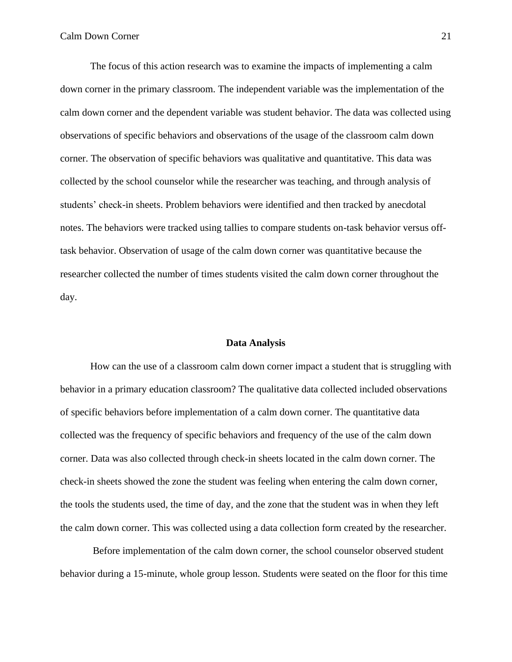The focus of this action research was to examine the impacts of implementing a calm down corner in the primary classroom. The independent variable was the implementation of the calm down corner and the dependent variable was student behavior. The data was collected using observations of specific behaviors and observations of the usage of the classroom calm down corner. The observation of specific behaviors was qualitative and quantitative. This data was collected by the school counselor while the researcher was teaching, and through analysis of students' check-in sheets. Problem behaviors were identified and then tracked by anecdotal notes. The behaviors were tracked using tallies to compare students on-task behavior versus offtask behavior. Observation of usage of the calm down corner was quantitative because the researcher collected the number of times students visited the calm down corner throughout the day.

#### **Data Analysis**

How can the use of a classroom calm down corner impact a student that is struggling with behavior in a primary education classroom? The qualitative data collected included observations of specific behaviors before implementation of a calm down corner. The quantitative data collected was the frequency of specific behaviors and frequency of the use of the calm down corner. Data was also collected through check-in sheets located in the calm down corner. The check-in sheets showed the zone the student was feeling when entering the calm down corner, the tools the students used, the time of day, and the zone that the student was in when they left the calm down corner. This was collected using a data collection form created by the researcher.

Before implementation of the calm down corner, the school counselor observed student behavior during a 15-minute, whole group lesson. Students were seated on the floor for this time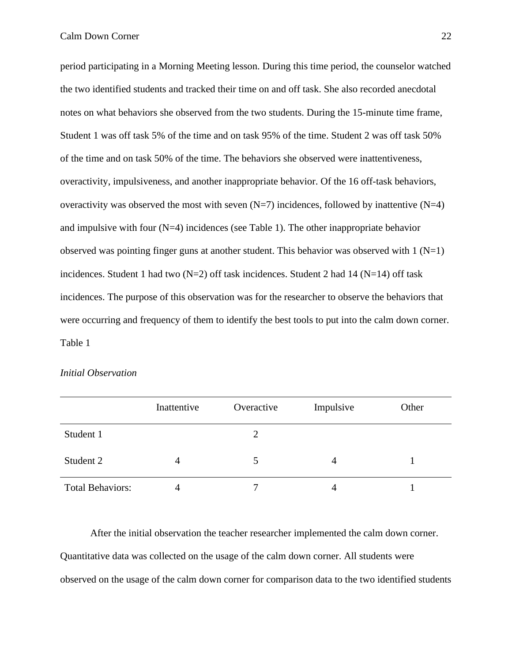period participating in a Morning Meeting lesson. During this time period, the counselor watched the two identified students and tracked their time on and off task. She also recorded anecdotal notes on what behaviors she observed from the two students. During the 15-minute time frame, Student 1 was off task 5% of the time and on task 95% of the time. Student 2 was off task 50% of the time and on task 50% of the time. The behaviors she observed were inattentiveness, overactivity, impulsiveness, and another inappropriate behavior. Of the 16 off-task behaviors, overactivity was observed the most with seven  $(N=7)$  incidences, followed by inattentive  $(N=4)$ and impulsive with four  $(N=4)$  incidences (see Table 1). The other inappropriate behavior observed was pointing finger guns at another student. This behavior was observed with  $1(N=1)$ incidences. Student 1 had two  $(N=2)$  off task incidences. Student 2 had 14  $(N=14)$  off task incidences. The purpose of this observation was for the researcher to observe the behaviors that were occurring and frequency of them to identify the best tools to put into the calm down corner. Table 1

| <b>Initial Observation</b> |
|----------------------------|
|                            |

|                         | Inattentive | Overactive | Impulsive | Other |
|-------------------------|-------------|------------|-----------|-------|
| Student 1               |             |            |           |       |
| Student 2               | 4           |            | 4         |       |
| <b>Total Behaviors:</b> |             | ┑          |           |       |

After the initial observation the teacher researcher implemented the calm down corner. Quantitative data was collected on the usage of the calm down corner. All students were observed on the usage of the calm down corner for comparison data to the two identified students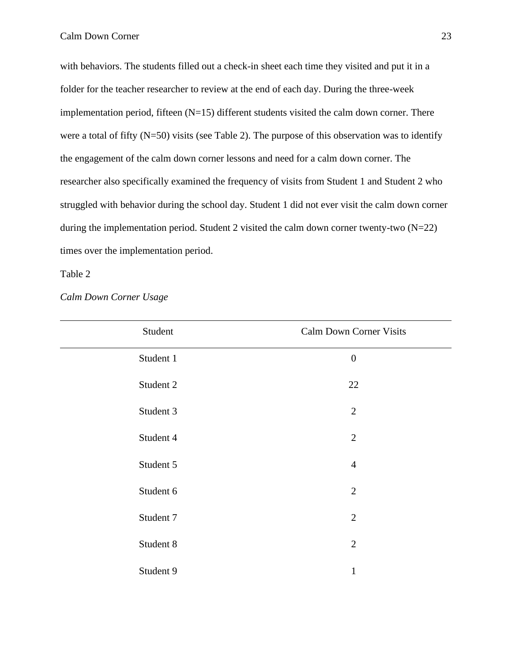with behaviors. The students filled out a check-in sheet each time they visited and put it in a folder for the teacher researcher to review at the end of each day. During the three-week implementation period, fifteen  $(N=15)$  different students visited the calm down corner. There were a total of fifty (N=50) visits (see Table 2). The purpose of this observation was to identify the engagement of the calm down corner lessons and need for a calm down corner. The researcher also specifically examined the frequency of visits from Student 1 and Student 2 who struggled with behavior during the school day. Student 1 did not ever visit the calm down corner during the implementation period. Student 2 visited the calm down corner twenty-two (N=22) times over the implementation period.

Table 2

| Student   | <b>Calm Down Corner Visits</b> |
|-----------|--------------------------------|
| Student 1 | $\boldsymbol{0}$               |
| Student 2 | 22                             |
| Student 3 | $\overline{2}$                 |
| Student 4 | $\overline{2}$                 |
| Student 5 | $\overline{4}$                 |
| Student 6 | $\overline{2}$                 |
| Student 7 | $\overline{2}$                 |
| Student 8 | $\overline{2}$                 |
| Student 9 | 1                              |

*Calm Down Corner Usage*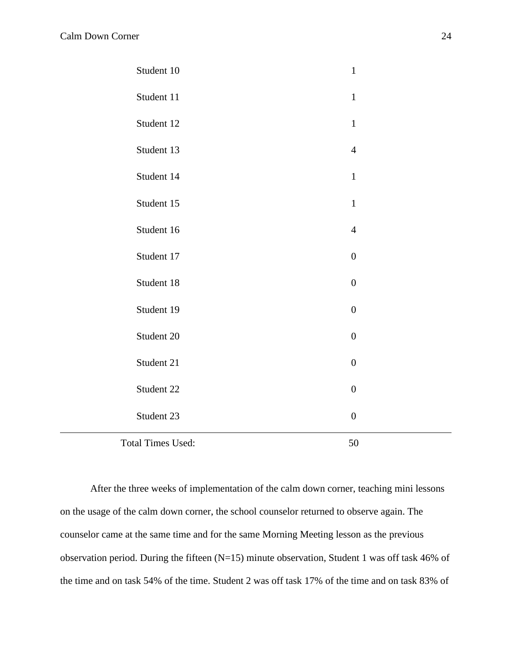| Student 10               | $\mathbf{1}$     |  |
|--------------------------|------------------|--|
| Student 11               | $\mathbf{1}$     |  |
| Student 12               | $\mathbf{1}$     |  |
| Student 13               | $\overline{4}$   |  |
| Student 14               | $\mathbf{1}$     |  |
| Student 15               | $\mathbf{1}$     |  |
| Student 16               | $\overline{4}$   |  |
| Student 17               | $\boldsymbol{0}$ |  |
| Student 18               | $\boldsymbol{0}$ |  |
| Student 19               | $\boldsymbol{0}$ |  |
| Student 20               | $\boldsymbol{0}$ |  |
| Student 21               | $\boldsymbol{0}$ |  |
| Student 22               | $\boldsymbol{0}$ |  |
| Student 23               | $\boldsymbol{0}$ |  |
| <b>Total Times Used:</b> | 50               |  |

After the three weeks of implementation of the calm down corner, teaching mini lessons on the usage of the calm down corner, the school counselor returned to observe again. The counselor came at the same time and for the same Morning Meeting lesson as the previous observation period. During the fifteen (N=15) minute observation, Student 1 was off task 46% of the time and on task 54% of the time. Student 2 was off task 17% of the time and on task 83% of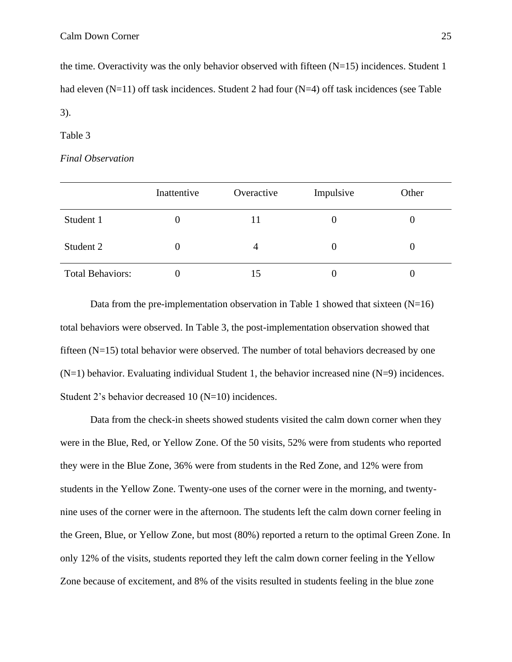the time. Overactivity was the only behavior observed with fifteen  $(N=15)$  incidences. Student 1 had eleven (N=11) off task incidences. Student 2 had four (N=4) off task incidences (see Table 3).

Table 3

# *Final Observation*

|                         | Inattentive | Overactive | Impulsive | Other |
|-------------------------|-------------|------------|-----------|-------|
| Student 1               |             |            | O         |       |
| Student 2               |             | 4          | $\theta$  |       |
| <b>Total Behaviors:</b> |             | 15         | O         |       |

Data from the pre-implementation observation in Table 1 showed that sixteen  $(N=16)$ total behaviors were observed. In Table 3, the post-implementation observation showed that fifteen  $(N=15)$  total behavior were observed. The number of total behaviors decreased by one  $(N=1)$  behavior. Evaluating individual Student 1, the behavior increased nine  $(N=9)$  incidences. Student 2's behavior decreased 10 (N=10) incidences.

Data from the check-in sheets showed students visited the calm down corner when they were in the Blue, Red, or Yellow Zone. Of the 50 visits, 52% were from students who reported they were in the Blue Zone, 36% were from students in the Red Zone, and 12% were from students in the Yellow Zone. Twenty-one uses of the corner were in the morning, and twentynine uses of the corner were in the afternoon. The students left the calm down corner feeling in the Green, Blue, or Yellow Zone, but most (80%) reported a return to the optimal Green Zone. In only 12% of the visits, students reported they left the calm down corner feeling in the Yellow Zone because of excitement, and 8% of the visits resulted in students feeling in the blue zone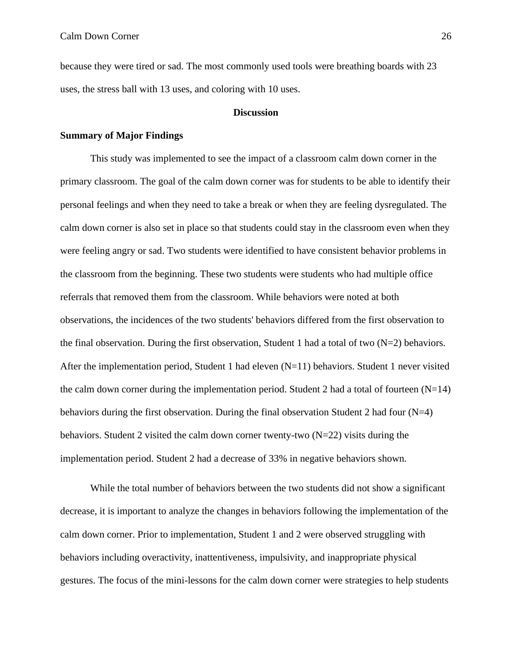because they were tired or sad. The most commonly used tools were breathing boards with 23 uses, the stress ball with 13 uses, and coloring with 10 uses.

#### **Discussion**

## **Summary of Major Findings**

This study was implemented to see the impact of a classroom calm down corner in the primary classroom. The goal of the calm down corner was for students to be able to identify their personal feelings and when they need to take a break or when they are feeling dysregulated. The calm down corner is also set in place so that students could stay in the classroom even when they were feeling angry or sad. Two students were identified to have consistent behavior problems in the classroom from the beginning. These two students were students who had multiple office referrals that removed them from the classroom. While behaviors were noted at both observations, the incidences of the two students' behaviors differed from the first observation to the final observation. During the first observation, Student 1 had a total of two  $(N=2)$  behaviors. After the implementation period, Student 1 had eleven  $(N=11)$  behaviors. Student 1 never visited the calm down corner during the implementation period. Student 2 had a total of fourteen  $(N=14)$ behaviors during the first observation. During the final observation Student 2 had four (N=4) behaviors. Student 2 visited the calm down corner twenty-two  $(N=22)$  visits during the implementation period. Student 2 had a decrease of 33% in negative behaviors shown.

While the total number of behaviors between the two students did not show a significant decrease, it is important to analyze the changes in behaviors following the implementation of the calm down corner. Prior to implementation, Student 1 and 2 were observed struggling with behaviors including overactivity, inattentiveness, impulsivity, and inappropriate physical gestures. The focus of the mini-lessons for the calm down corner were strategies to help students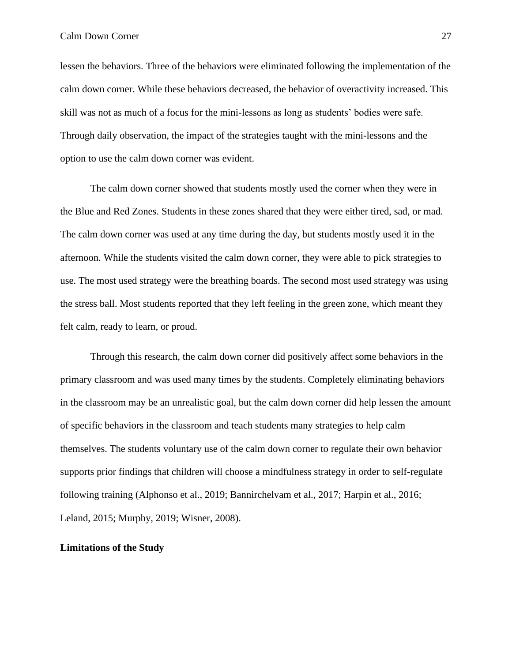lessen the behaviors. Three of the behaviors were eliminated following the implementation of the calm down corner. While these behaviors decreased, the behavior of overactivity increased. This skill was not as much of a focus for the mini-lessons as long as students' bodies were safe. Through daily observation, the impact of the strategies taught with the mini-lessons and the option to use the calm down corner was evident.

The calm down corner showed that students mostly used the corner when they were in the Blue and Red Zones. Students in these zones shared that they were either tired, sad, or mad. The calm down corner was used at any time during the day, but students mostly used it in the afternoon. While the students visited the calm down corner, they were able to pick strategies to use. The most used strategy were the breathing boards. The second most used strategy was using the stress ball. Most students reported that they left feeling in the green zone, which meant they felt calm, ready to learn, or proud.

Through this research, the calm down corner did positively affect some behaviors in the primary classroom and was used many times by the students. Completely eliminating behaviors in the classroom may be an unrealistic goal, but the calm down corner did help lessen the amount of specific behaviors in the classroom and teach students many strategies to help calm themselves. The students voluntary use of the calm down corner to regulate their own behavior supports prior findings that children will choose a mindfulness strategy in order to self-regulate following training (Alphonso et al., 2019; Bannirchelvam et al., 2017; Harpin et al., 2016; Leland, 2015; Murphy, 2019; Wisner, 2008).

## **Limitations of the Study**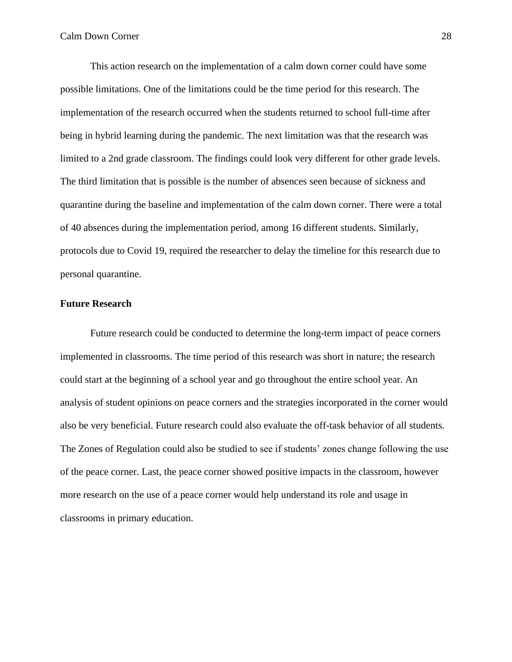This action research on the implementation of a calm down corner could have some possible limitations. One of the limitations could be the time period for this research. The implementation of the research occurred when the students returned to school full-time after being in hybrid learning during the pandemic. The next limitation was that the research was limited to a 2nd grade classroom. The findings could look very different for other grade levels. The third limitation that is possible is the number of absences seen because of sickness and quarantine during the baseline and implementation of the calm down corner. There were a total of 40 absences during the implementation period, among 16 different students. Similarly, protocols due to Covid 19, required the researcher to delay the timeline for this research due to personal quarantine.

# **Future Research**

Future research could be conducted to determine the long-term impact of peace corners implemented in classrooms. The time period of this research was short in nature; the research could start at the beginning of a school year and go throughout the entire school year. An analysis of student opinions on peace corners and the strategies incorporated in the corner would also be very beneficial. Future research could also evaluate the off-task behavior of all students. The Zones of Regulation could also be studied to see if students' zones change following the use of the peace corner. Last, the peace corner showed positive impacts in the classroom, however more research on the use of a peace corner would help understand its role and usage in classrooms in primary education.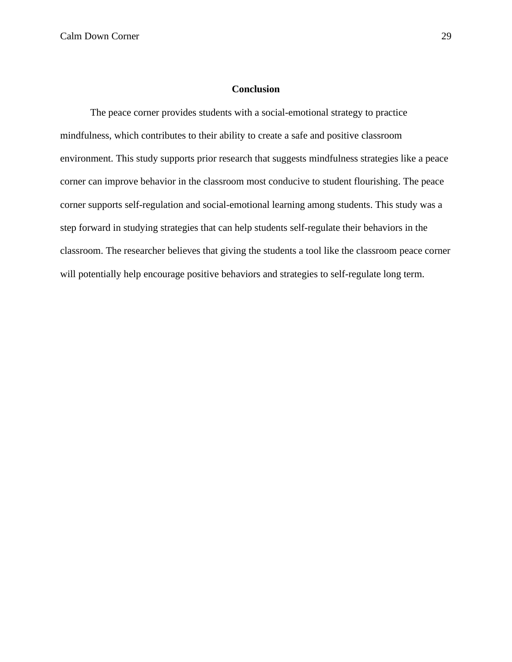## **Conclusion**

The peace corner provides students with a social-emotional strategy to practice mindfulness, which contributes to their ability to create a safe and positive classroom environment. This study supports prior research that suggests mindfulness strategies like a peace corner can improve behavior in the classroom most conducive to student flourishing. The peace corner supports self-regulation and social-emotional learning among students. This study was a step forward in studying strategies that can help students self-regulate their behaviors in the classroom. The researcher believes that giving the students a tool like the classroom peace corner will potentially help encourage positive behaviors and strategies to self-regulate long term.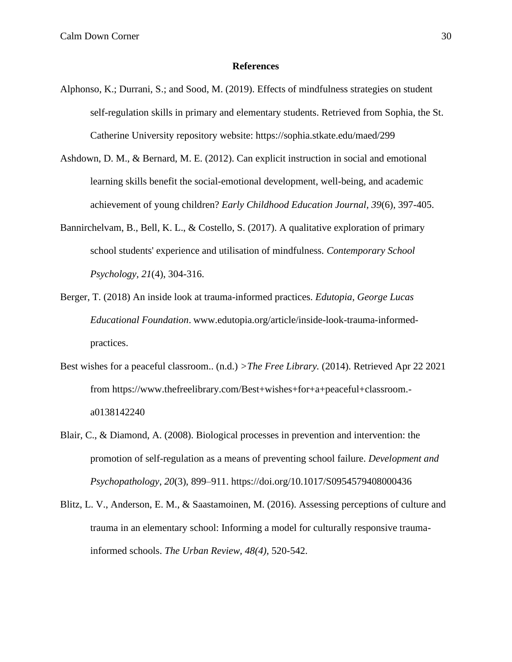#### **References**

- Alphonso, K.; Durrani, S.; and Sood, M. (2019). Effects of mindfulness strategies on student self-regulation skills in primary and elementary students. Retrieved from Sophia, the St. Catherine University repository website: https://sophia.stkate.edu/maed/299
- Ashdown, D. M., & Bernard, M. E. (2012). Can explicit instruction in social and emotional learning skills benefit the social-emotional development, well-being, and academic achievement of young children? *Early Childhood Education Journal, 39*(6), 397-405.
- Bannirchelvam, B., Bell, K. L., & Costello, S. (2017). A qualitative exploration of primary school students' experience and utilisation of mindfulness. *Contemporary School Psychology, 21*(4), 304-316.
- Berger, T. (2018) An inside look at trauma-informed practices. *Edutopia, George Lucas Educational Foundation*. www.edutopia.org/article/inside-look-trauma-informedpractices.
- Best wishes for a peaceful classroom.. (n.d.) *>The Free Library.* (2014). Retrieved Apr 22 2021 from https://www.thefreelibrary.com/Best+wishes+for+a+peaceful+classroom. a0138142240
- Blair, C., & Diamond, A. (2008). Biological processes in prevention and intervention: the promotion of self-regulation as a means of preventing school failure. *Development and Psychopathology*, *20*(3), 899–911. https://doi.org/10.1017/S0954579408000436
- Blitz, L. V., Anderson, E. M., & Saastamoinen, M. (2016). Assessing perceptions of culture and trauma in an elementary school: Informing a model for culturally responsive traumainformed schools. *The Urban Review, 48(4),* 520-542.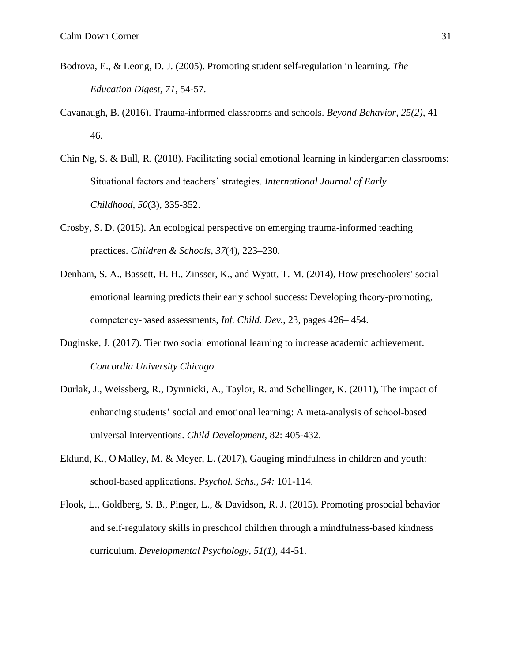- Bodrova, E., & Leong, D. J. (2005). Promoting student self-regulation in learning. *The Education Digest, 71*, 54-57.
- Cavanaugh, B. (2016). Trauma-informed classrooms and schools. *Beyond Behavior, 25(2),* 41– 46.
- Chin Ng, S. & Bull, R. (2018). Facilitating social emotional learning in kindergarten classrooms: Situational factors and teachers' strategies. *International Journal of Early Childhood, 50*(3), 335-352.
- Crosby, S. D. (2015). An ecological perspective on emerging trauma-informed teaching practices. *Children & Schools*, *37*(4), 223–230.
- Denham, S. A., Bassett, H. H., Zinsser, K., and Wyatt, T. M. (2014), How preschoolers' social– emotional learning predicts their early school success: Developing theory‐promoting, competency‐based assessments, *Inf. Child. Dev.*, 23, pages 426– 454.
- Duginske, J. (2017). Tier two social emotional learning to increase academic achievement. *Concordia University Chicago.*
- Durlak, J., Weissberg, R., Dymnicki, A., Taylor, R. and Schellinger, K. (2011), The impact of enhancing students' social and emotional learning: A meta-analysis of school-based universal interventions. *Child Development*, 82: 405-432.
- Eklund, K., O'Malley, M. & Meyer, L. (2017), Gauging mindfulness in children and youth: school‐based applications. *Psychol. Schs., 54:* 101-114.
- Flook, L., Goldberg, S. B., Pinger, L., & Davidson, R. J. (2015). Promoting prosocial behavior and self-regulatory skills in preschool children through a mindfulness-based kindness curriculum. *Developmental Psychology, 51(1),* 44-51.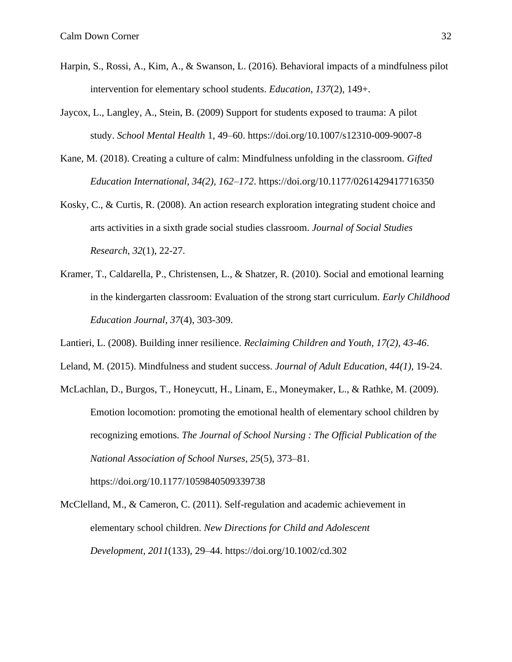- Harpin, S., Rossi, A., Kim, A., & Swanson, L. (2016). Behavioral impacts of a mindfulness pilot intervention for elementary school students. *Education*, *137*(2), 149+.
- Jaycox, L., Langley, A., Stein, B. (2009) Support for students exposed to trauma: A pilot study. *School Mental Health* 1, 49–60. https://doi.org/10.1007/s12310-009-9007-8
- Kane, M. (2018). Creating a culture of calm: Mindfulness unfolding in the classroom. *Gifted Education International, 34(2), 162–172*. https://doi.org/10.1177/0261429417716350
- Kosky, C., & Curtis, R. (2008). An action research exploration integrating student choice and arts activities in a sixth grade social studies classroom. *Journal of Social Studies Research, 32*(1), 22-27.
- Kramer, T., Caldarella, P., Christensen, L., & Shatzer, R. (2010). Social and emotional learning in the kindergarten classroom: Evaluation of the strong start curriculum. *Early Childhood Education Journal, 37*(4), 303-309.
- Lantieri, L. (2008). Building inner resilience. *Reclaiming Children and Youth, 17(2), 43-46*.
- Leland, M. (2015). Mindfulness and student success. *Journal of Adult Education, 44(1),* 19-24.
- McLachlan, D., Burgos, T., Honeycutt, H., Linam, E., Moneymaker, L., & Rathke, M. (2009). Emotion locomotion: promoting the emotional health of elementary school children by recognizing emotions. *The Journal of School Nursing : The Official Publication of the National Association of School Nurses*, *25*(5), 373–81. https://doi.org/10.1177/1059840509339738

McClelland, M., & Cameron, C. (2011). Self-regulation and academic achievement in elementary school children. *New Directions for Child and Adolescent Development*, *2011*(133), 29–44. https://doi.org/10.1002/cd.302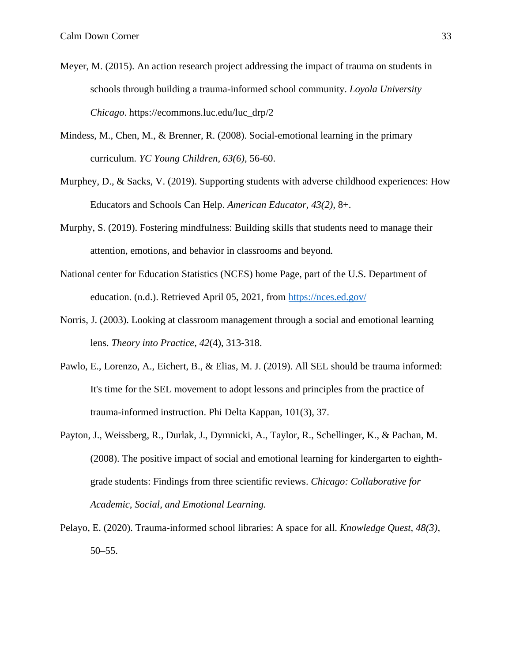- Meyer, M. (2015). An action research project addressing the impact of trauma on students in schools through building a trauma-informed school community. *Loyola University Chicago*. https://ecommons.luc.edu/luc\_drp/2
- Mindess, M., Chen, M., & Brenner, R. (2008). Social-emotional learning in the primary curriculum*. YC Young Children, 63(6),* 56-60.
- Murphey, D., & Sacks, V. (2019). Supporting students with adverse childhood experiences: How Educators and Schools Can Help. *American Educator, 43(2),* 8+.
- Murphy, S. (2019). Fostering mindfulness: Building skills that students need to manage their attention, emotions, and behavior in classrooms and beyond*.*
- National center for Education Statistics (NCES) home Page, part of the U.S. Department of education. (n.d.). Retrieved April 05, 2021, from<https://nces.ed.gov/>
- Norris, J. (2003). Looking at classroom management through a social and emotional learning lens. *Theory into Practice, 42*(4), 313-318.
- Pawlo, E., Lorenzo, A., Eichert, B., & Elias, M. J. (2019). All SEL should be trauma informed: It's time for the SEL movement to adopt lessons and principles from the practice of trauma-informed instruction. Phi Delta Kappan, 101(3), 37.
- Payton, J., Weissberg, R., Durlak, J., Dymnicki, A., Taylor, R., Schellinger, K., & Pachan, M. (2008). The positive impact of social and emotional learning for kindergarten to eighthgrade students: Findings from three scientific reviews. *Chicago: Collaborative for Academic, Social, and Emotional Learning.*
- Pelayo, E. (2020). Trauma-informed school libraries: A space for all. *Knowledge Quest, 48(3)*, 50–55.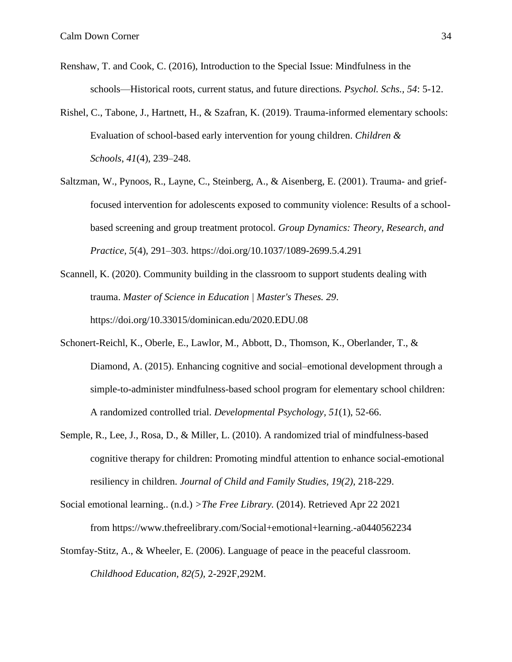- Renshaw, T. and Cook, C. (2016), Introduction to the Special Issue: Mindfulness in the schools—Historical roots, current status, and future directions*. Psychol. Schs., 54*: 5-12.
- Rishel, C., Tabone, J., Hartnett, H., & Szafran, K. (2019). Trauma-informed elementary schools: Evaluation of school-based early intervention for young children. *Children & Schools*, *41*(4), 239–248.
- Saltzman, W., Pynoos, R., Layne, C., Steinberg, A., & Aisenberg, E. (2001). Trauma- and grieffocused intervention for adolescents exposed to community violence: Results of a schoolbased screening and group treatment protocol. *Group Dynamics: Theory, Research, and Practice, 5*(4), 291–303. https://doi.org/10.1037/1089-2699.5.4.291
- Scannell, K. (2020). Community building in the classroom to support students dealing with trauma. *Master of Science in Education | Master's Theses. 29*. https://doi.org/10.33015/dominican.edu/2020.EDU.08
- Schonert-Reichl, K., Oberle, E., Lawlor, M., Abbott, D., Thomson, K., Oberlander, T., & Diamond, A. (2015). Enhancing cognitive and social–emotional development through a simple-to-administer mindfulness-based school program for elementary school children: A randomized controlled trial. *Developmental Psychology, 51*(1), 52-66.
- Semple, R., Lee, J., Rosa, D., & Miller, L. (2010). A randomized trial of mindfulness-based cognitive therapy for children: Promoting mindful attention to enhance social-emotional resiliency in children. *Journal of Child and Family Studies, 19(2),* 218-229.
- Social emotional learning.. (n.d.) *>The Free Library.* (2014). Retrieved Apr 22 2021 from https://www.thefreelibrary.com/Social+emotional+learning.-a0440562234
- Stomfay-Stitz, A., & Wheeler, E. (2006). Language of peace in the peaceful classroom. *Childhood Education, 82(5),* 2-292F,292M.